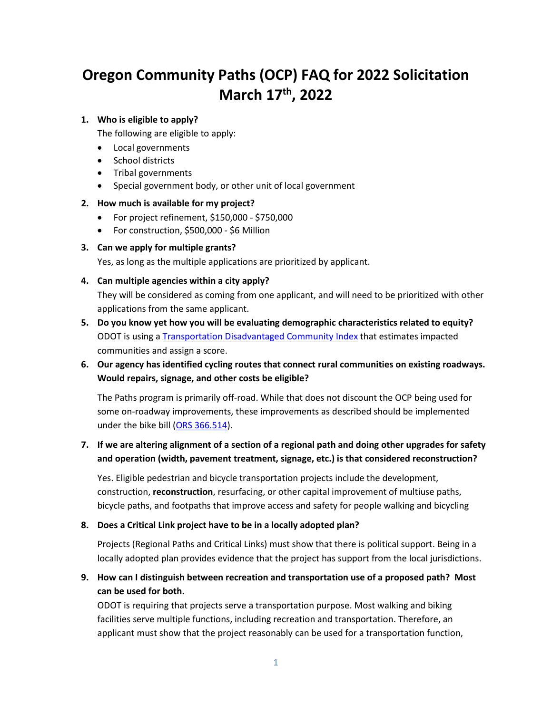# **Oregon Community Paths (OCP) FAQ for 2022 Solicitation March 17th, 2022**

### **1. Who is eligible to apply?**

The following are eligible to apply:

- Local governments
- School districts
- Tribal governments
- Special government body, or other unit of local government

### **2. How much is available for my project?**

- For project refinement, \$150,000 \$750,000
- For construction, \$500,000 \$6 Million

### **3. Can we apply for multiple grants?**

Yes, as long as the multiple applications are prioritized by applicant.

### **4. Can multiple agencies within a city apply?**

They will be considered as coming from one applicant, and will need to be prioritized with other applications from the same applicant.

**5. Do you know yet how you will be evaluating demographic characteristics related to equity?**  ODOT is using a [Transportation Disadvantaged Community Index](https://www.arcgis.com/home/webmap/viewer.html?webmap=fdbedcf945ba45db9f37b99d8df6a8e0&extent=-128.7353,38.4092,-102.8515,48.1649) that estimates impacted communities and assign a score.

# **6. Our agency has identified cycling routes that connect rural communities on existing roadways. Would repairs, signage, and other costs be eligible?**

The Paths program is primarily off-road. While that does not discount the OCP being used for some on-roadway improvements, these improvements as described should be implemented under the bike bill [\(ORS 366.514\)](https://www.oregonlaws.org/ors/366.514).

## **7. If we are altering alignment of a section of a regional path and doing other upgrades for safety and operation (width, pavement treatment, signage, etc.) is that considered reconstruction?**

Yes. Eligible pedestrian and bicycle transportation projects include the development, construction, **reconstruction**, resurfacing, or other capital improvement of multiuse paths, bicycle paths, and footpaths that improve access and safety for people walking and bicycling

### **8. Does a Critical Link project have to be in a locally adopted plan?**

Projects (Regional Paths and Critical Links) must show that there is political support. Being in a locally adopted plan provides evidence that the project has support from the local jurisdictions.

# **9. How can I distinguish between recreation and transportation use of a proposed path? Most can be used for both.**

ODOT is requiring that projects serve a transportation purpose. Most walking and biking facilities serve multiple functions, including recreation and transportation. Therefore, an applicant must show that the project reasonably can be used for a transportation function,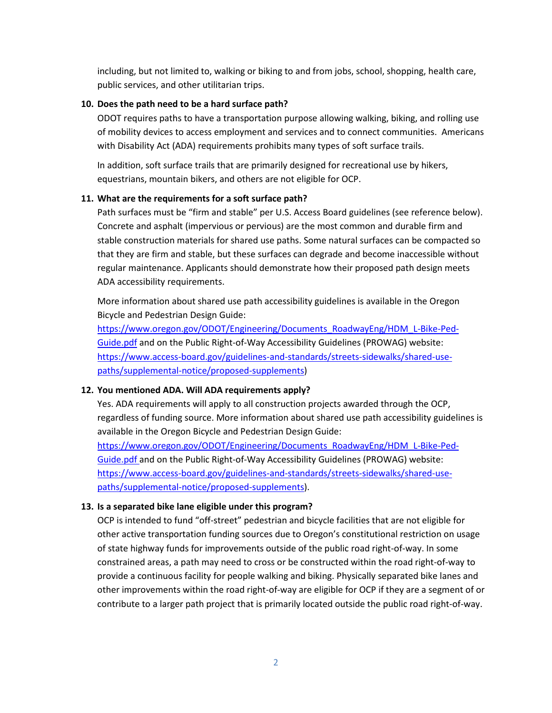including, but not limited to, walking or biking to and from jobs, school, shopping, health care, public services, and other utilitarian trips.

### **10. Does the path need to be a hard surface path?**

ODOT requires paths to have a transportation purpose allowing walking, biking, and rolling use of mobility devices to access employment and services and to connect communities. Americans with Disability Act (ADA) requirements prohibits many types of soft surface trails.

In addition, soft surface trails that are primarily designed for recreational use by hikers, equestrians, mountain bikers, and others are not eligible for OCP.

#### **11. What are the requirements for a soft surface path?**

Path surfaces must be "firm and stable" per U.S. Access Board guidelines (see reference below). Concrete and asphalt (impervious or pervious) are the most common and durable firm and stable construction materials for shared use paths. Some natural surfaces can be compacted so that they are firm and stable, but these surfaces can degrade and become inaccessible without regular maintenance. Applicants should demonstrate how their proposed path design meets ADA accessibility requirements.

More information about shared use path accessibility guidelines is available in the Oregon Bicycle and Pedestrian Design Guide:

[https://www.oregon.gov/ODOT/Engineering/Documents\\_RoadwayEng/HDM\\_L-Bike-Ped-](https://www.oregon.gov/ODOT/Engineering/Documents_RoadwayEng/HDM_L-Bike-Ped-Guide.pdf)[Guide.pdf](https://www.oregon.gov/ODOT/Engineering/Documents_RoadwayEng/HDM_L-Bike-Ped-Guide.pdf) and on the Public Right-of-Way Accessibility Guidelines (PROWAG) website: [https://www.access-board.gov/guidelines-and-standards/streets-sidewalks/shared-use](https://www.access-board.gov/guidelines-and-standards/streets-sidewalks/shared-use-paths/supplemental-notice/proposed-supplements)[paths/supplemental-notice/proposed-supplements\)](https://www.access-board.gov/guidelines-and-standards/streets-sidewalks/shared-use-paths/supplemental-notice/proposed-supplements)

### **12. You mentioned ADA. Will ADA requirements apply?**

Yes. ADA requirements will apply to all construction projects awarded through the OCP, regardless of funding source. More information about shared use path accessibility guidelines is available in the Oregon Bicycle and Pedestrian Design Guide:

[https://www.oregon.gov/ODOT/Engineering/Documents\\_RoadwayEng/HDM\\_L-Bike-Ped-](https://www.oregon.gov/ODOT/Engineering/Documents_RoadwayEng/HDM_L-Bike-Ped-Guide.pdf)[Guide.pdf](https://www.oregon.gov/ODOT/Engineering/Documents_RoadwayEng/HDM_L-Bike-Ped-Guide.pdf) and on the Public Right-of-Way Accessibility Guidelines (PROWAG) website: [https://www.access-board.gov/guidelines-and-standards/streets-sidewalks/shared-use](https://www.access-board.gov/guidelines-and-standards/streets-sidewalks/shared-use-paths/supplemental-notice/proposed-supplements)[paths/supplemental-notice/proposed-supplements\)](https://www.access-board.gov/guidelines-and-standards/streets-sidewalks/shared-use-paths/supplemental-notice/proposed-supplements).

#### **13. Is a separated bike lane eligible under this program?**

OCP is intended to fund "off-street" pedestrian and bicycle facilities that are not eligible for other active transportation funding sources due to Oregon's constitutional restriction on usage of state highway funds for improvements outside of the public road right-of-way. In some constrained areas, a path may need to cross or be constructed within the road right-of-way to provide a continuous facility for people walking and biking. Physically separated bike lanes and other improvements within the road right-of-way are eligible for OCP if they are a segment of or contribute to a larger path project that is primarily located outside the public road right-of-way.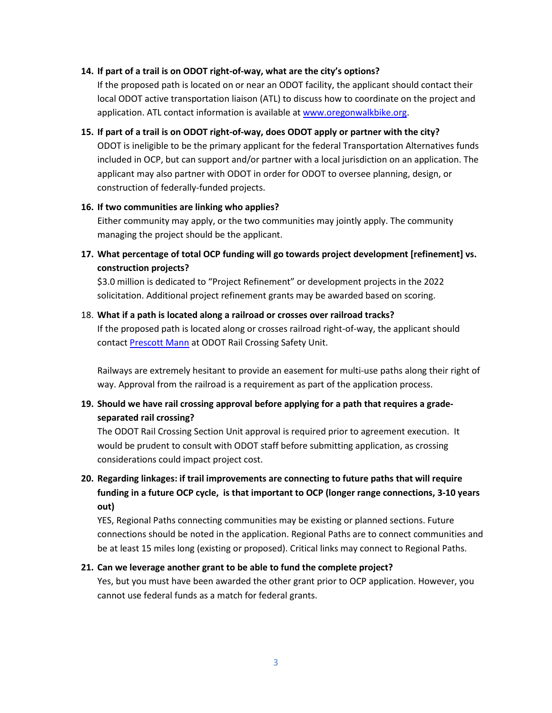#### **14. If part of a trail is on ODOT right-of-way, what are the city's options?**

If the proposed path is located on or near an ODOT facility, the applicant should contact their local ODOT active transportation liaison (ATL) to discuss how to coordinate on the project and application. ATL contact information is available at [www.oregonwalkbike.org.](http://www.oregonwalkbike.org/)

#### **15. If part of a trail is on ODOT right-of-way, does ODOT apply or partner with the city?**

ODOT is ineligible to be the primary applicant for the federal Transportation Alternatives funds included in OCP, but can support and/or partner with a local jurisdiction on an application. The applicant may also partner with ODOT in order for ODOT to oversee planning, design, or construction of federally-funded projects.

#### **16. If two communities are linking who applies?**

Either community may apply, or the two communities may jointly apply. The community managing the project should be the applicant.

**17. What percentage of total OCP funding will go towards project development [refinement] vs. construction projects?**

\$3.0 million is dedicated to "Project Refinement" or development projects in the 2022 solicitation. Additional project refinement grants may be awarded based on scoring.

#### 18. **What if a path is located along a railroad or crosses over railroad tracks?**

If the proposed path is located along or crosses railroad right-of-way, the applicant should contact [Prescott Mann](mailto:Prescott.E.MANN@odot.state.or.us) at ODOT Rail Crossing Safety Unit.

Railways are extremely hesitant to provide an easement for multi-use paths along their right of way. Approval from the railroad is a requirement as part of the application process.

### **19. Should we have rail crossing approval before applying for a path that requires a gradeseparated rail crossing?**

The ODOT Rail Crossing Section Unit approval is required prior to agreement execution. It would be prudent to consult with ODOT staff before submitting application, as crossing considerations could impact project cost.

### **20. Regarding linkages: if trail improvements are connecting to future paths that will require funding in a future OCP cycle, is that important to OCP (longer range connections, 3-10 years out)**

YES, Regional Paths connecting communities may be existing or planned sections. Future connections should be noted in the application. Regional Paths are to connect communities and be at least 15 miles long (existing or proposed). Critical links may connect to Regional Paths.

### **21. Can we leverage another grant to be able to fund the complete project?**

Yes, but you must have been awarded the other grant prior to OCP application. However, you cannot use federal funds as a match for federal grants.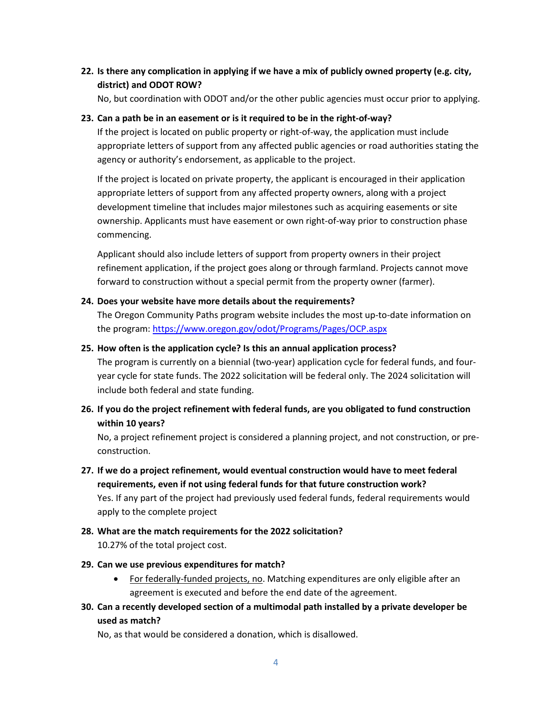### **22. Is there any complication in applying if we have a mix of publicly owned property (e.g. city, district) and ODOT ROW?**

No, but coordination with ODOT and/or the other public agencies must occur prior to applying.

### **23. Can a path be in an easement or is it required to be in the right-of-way?**

If the project is located on public property or right-of-way, the application must include appropriate letters of support from any affected public agencies or road authorities stating the agency or authority's endorsement, as applicable to the project.

If the project is located on private property, the applicant is encouraged in their application appropriate letters of support from any affected property owners, along with a project development timeline that includes major milestones such as acquiring easements or site ownership. Applicants must have easement or own right-of-way prior to construction phase commencing.

Applicant should also include letters of support from property owners in their project refinement application, if the project goes along or through farmland. Projects cannot move forward to construction without a special permit from the property owner (farmer).

### **24. Does your website have more details about the requirements?**

The Oregon Community Paths program website includes the most up-to-date information on the program:<https://www.oregon.gov/odot/Programs/Pages/OCP.aspx>

### **25. How often is the application cycle? Is this an annual application process?**

The program is currently on a biennial (two-year) application cycle for federal funds, and fouryear cycle for state funds. The 2022 solicitation will be federal only. The 2024 solicitation will include both federal and state funding.

**26. If you do the project refinement with federal funds, are you obligated to fund construction within 10 years?**

No, a project refinement project is considered a planning project, and not construction, or preconstruction.

- **27. If we do a project refinement, would eventual construction would have to meet federal requirements, even if not using federal funds for that future construction work?** Yes. If any part of the project had previously used federal funds, federal requirements would apply to the complete project
- **28. What are the match requirements for the 2022 solicitation?**  10.27% of the total project cost.
- **29. Can we use previous expenditures for match?**
	- For federally-funded projects, no. Matching expenditures are only eligible after an agreement is executed and before the end date of the agreement.
- **30. Can a recently developed section of a multimodal path installed by a private developer be used as match?**

No, as that would be considered a donation, which is disallowed.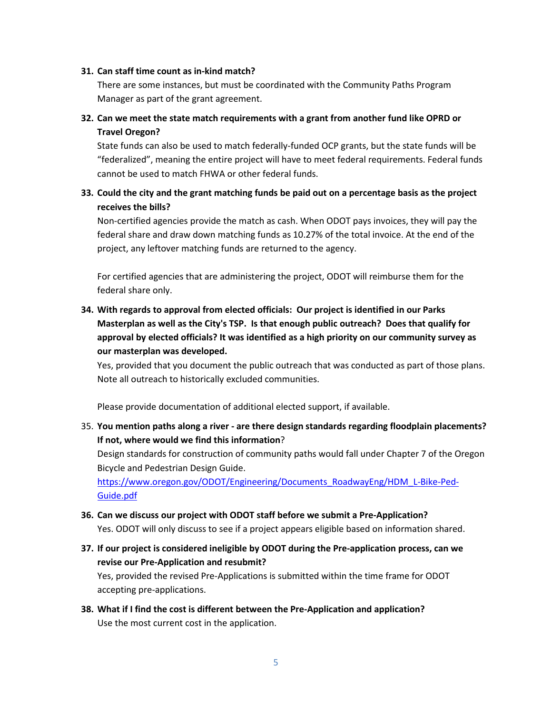#### **31. Can staff time count as in-kind match?**

There are some instances, but must be coordinated with the Community Paths Program Manager as part of the grant agreement.

### **32. Can we meet the state match requirements with a grant from another fund like OPRD or Travel Oregon?**

State funds can also be used to match federally-funded OCP grants, but the state funds will be "federalized", meaning the entire project will have to meet federal requirements. Federal funds cannot be used to match FHWA or other federal funds.

### **33. Could the city and the grant matching funds be paid out on a percentage basis as the project receives the bills?**

Non-certified agencies provide the match as cash. When ODOT pays invoices, they will pay the federal share and draw down matching funds as 10.27% of the total invoice. At the end of the project, any leftover matching funds are returned to the agency.

For certified agencies that are administering the project, ODOT will reimburse them for the federal share only.

# **34. With regards to approval from elected officials: Our project is identified in our Parks Masterplan as well as the City's TSP. Is that enough public outreach? Does that qualify for approval by elected officials? It was identified as a high priority on our community survey as our masterplan was developed.**

Yes, provided that you document the public outreach that was conducted as part of those plans. Note all outreach to historically excluded communities.

Please provide documentation of additional elected support, if available.

35. **You mention paths along a river - are there design standards regarding floodplain placements? If not, where would we find this information**?

Design standards for construction of community paths would fall under Chapter 7 of the Oregon Bicycle and Pedestrian Design Guide.

[https://www.oregon.gov/ODOT/Engineering/Documents\\_RoadwayEng/HDM\\_L-Bike-Ped-](https://www.oregon.gov/ODOT/Engineering/Documents_RoadwayEng/HDM_L-Bike-Ped-Guide.pdf)[Guide.pdf](https://www.oregon.gov/ODOT/Engineering/Documents_RoadwayEng/HDM_L-Bike-Ped-Guide.pdf) 

- **36. Can we discuss our project with ODOT staff before we submit a Pre-Application?**  Yes. ODOT will only discuss to see if a project appears eligible based on information shared.
- **37. If our project is considered ineligible by ODOT during the Pre-application process, can we revise our Pre-Application and resubmit?** Yes, provided the revised Pre-Applications is submitted within the time frame for ODOT accepting pre-applications.
- **38. What if I find the cost is different between the Pre-Application and application?** Use the most current cost in the application.